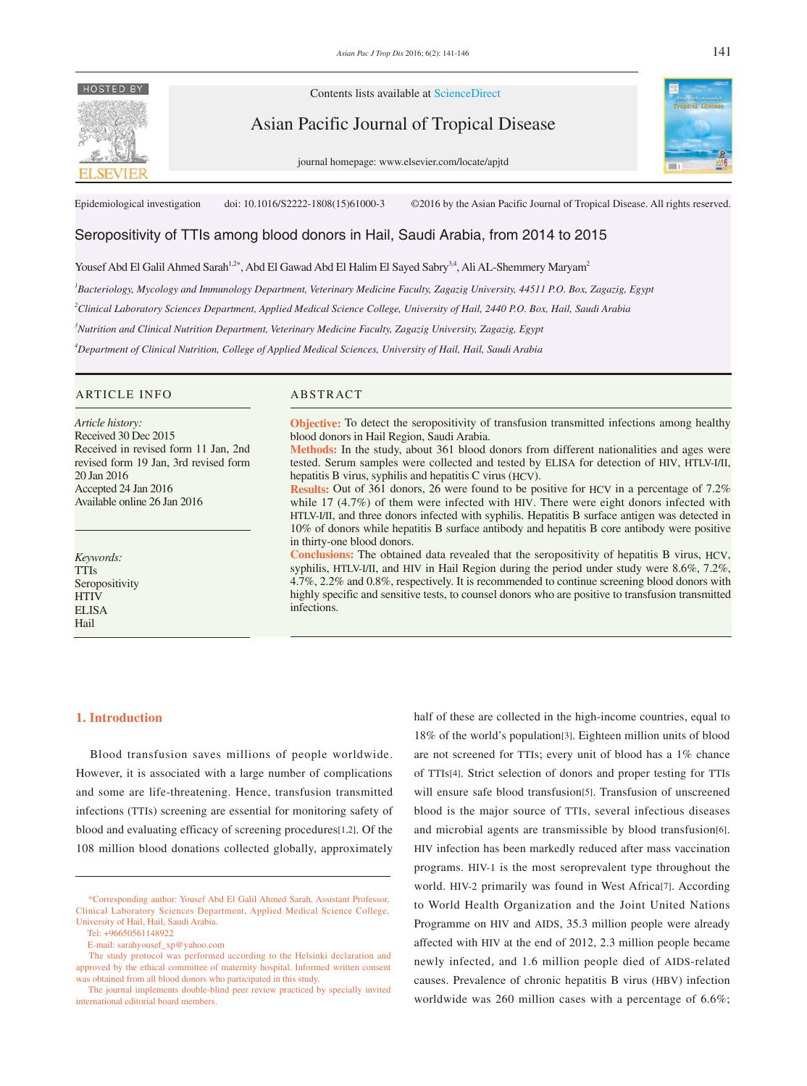# HOSTED BY



Asian Pacific Journal of Tropical Disease

journal homepage: www.elsevier.com/locate/apjtd



Epidemiological investigation doi: 10.1016/S2222-1808(15)61000-3 ©2016 by the Asian Pacific Journal of Tropical Disease. All rights reserved.

# Seropositivity of TTIs among blood donors in Hail, Saudi Arabia, from 2014 to 2015

Yousef Abd El Galil Ahmed Sarah<sup>1,2\*</sup>, Abd El Gawad Abd El Halim El Sayed Sabry<sup>3,4</sup>, Ali AL-Shemmery Maryam<sup>2</sup>

*1 Bacteriology, Mycology and Immunology Department, Veterinary Medicine Faculty, Zagazig University, 44511 P.O. Box, Zagazig, Egypt*

*2 Clinical Laboratory Sciences Department, Applied Medical Science College, University of Hail, 2440 P.O. Box, Hail, Saudi Arabia*

*3 Nutrition and Clinical Nutrition Department, Veterinary Medicine Faculty, Zagazig University, Zagazig, Egypt*

*4 Department of Clinical Nutrition, College of Applied Medical Sciences, University of Hail, Hail, Saudi Arabia*

#### ARTICLE INFO ABSTRACT

*Article history:* Received 30 Dec 2015 Received in revised form 11 Jan, 2nd revised form 19 Jan, 3rd revised form 20 Jan 2016 Accepted 24 Jan 2016 Available online 26 Jan 2016

*Keywords:* TTIs Seropositivity HTIV ELISA Hail

**Objective:** To detect the seropositivity of transfusion transmitted infections among healthy blood donors in Hail Region, Saudi Arabia.

**Methods:** In the study, about 361 blood donors from different nationalities and ages were tested. Serum samples were collected and tested by ELISA for detection of HIV, HTLV-I/II, hepatitis B virus, syphilis and hepatitis C virus (HCV).

**Results:** Out of 361 donors, 26 were found to be positive for HCV in a percentage of 7.2% while 17 (4.7%) of them were infected with HIV. There were eight donors infected with HTLV-I/II, and three donors infected with syphilis. Hepatitis B surface antigen was detected in 10% of donors while hepatitis B surface antibody and hepatitis B core antibody were positive in thirty-one blood donors.

**Conclusions:** The obtained data revealed that the seropositivity of hepatitis B virus, HCV, syphilis, HTLV-I/II, and HIV in Hail Region during the period under study were 8.6%, 7.2%, 4.7%, 2.2% and 0.8%, respectively. It is recommended to continue screening blood donors with highly specific and sensitive tests, to counsel donors who are positive to transfusion transmitted infections.

#### **1. Introduction**

 Blood transfusion saves millions of people worldwide. However, it is associated with a large number of complications and some are life-threatening. Hence, transfusion transmitted infections (TTIs) screening are essential for monitoring safety of blood and evaluating efficacy of screening procedures[1,2]. Of the 108 million blood donations collected globally, approximately

half of these are collected in the high-income countries, equal to 18% of the world's population[3]. Eighteen million units of blood are not screened for TTIs; every unit of blood has a 1% chance of TTIs[4]. Strict selection of donors and proper testing for TTIs will ensure safe blood transfusion[5]. Transfusion of unscreened blood is the major source of TTIs, several infectious diseases and microbial agents are transmissible by blood transfusion[6]. HIV infection has been markedly reduced after mass vaccination programs. HIV-1 is the most seroprevalent type throughout the world. HIV-2 primarily was found in West Africa[7]. According to World Health Organization and the Joint United Nations Programme on HIV and AIDS, 35.3 million people were already affected with HIV at the end of 2012, 2.3 million people became newly infected, and 1.6 million people died of AIDS-related causes. Prevalence of chronic hepatitis B virus (HBV) infection worldwide was 260 million cases with a percentage of 6.6%;

 <sup>\*</sup>Corresponding author: Yousef Abd El Galil Ahmed Sarah, Assistant Professor, Clinical Laboratory Sciences Department, Applied Medical Science College, University of Hail, Hail, Saudi Arabia.

Tel: +96650561148922

E-mail: sarahyousef\_xp@yahoo.com

The study protocol was performed according to the Helsinki declaration and approved by the ethical committee of maternity hospital. Informed written consent was obtained from all blood donors who participated in this study.

The journal implements double-blind peer review practiced by specially invited international editorial board members.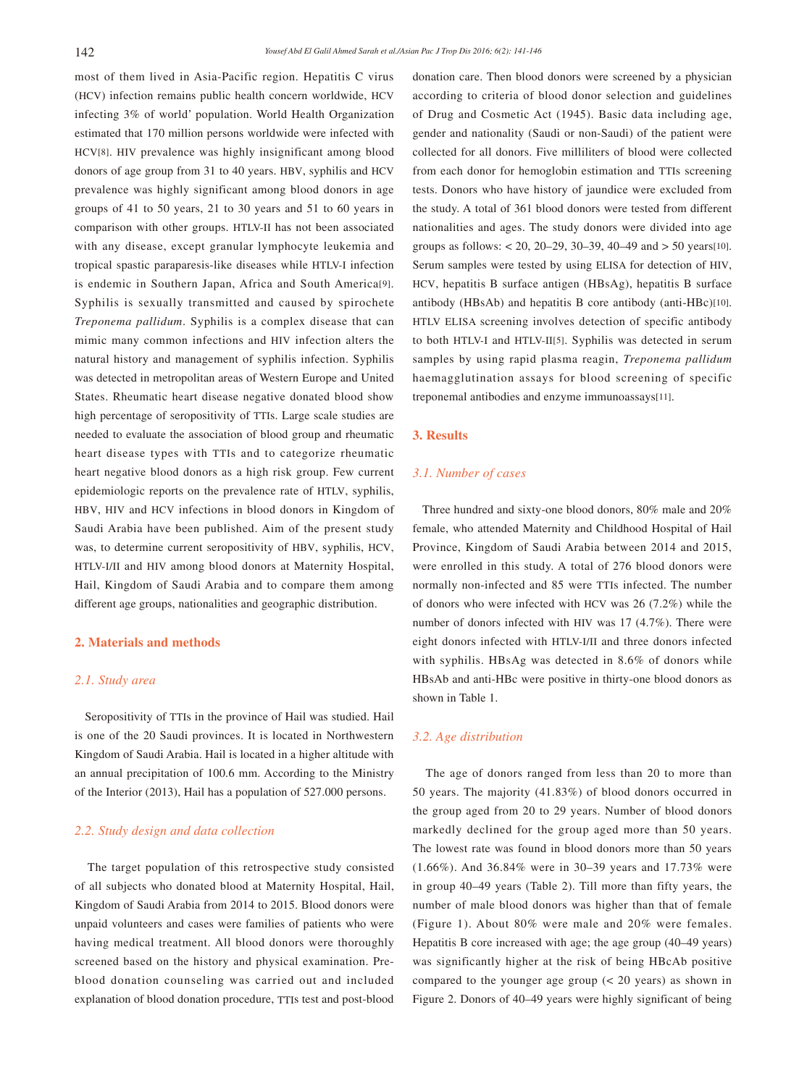most of them lived in Asia-Pacific region. Hepatitis C virus (HCV) infection remains public health concern worldwide, HCV infecting 3% of world' population. World Health Organization estimated that 170 million persons worldwide were infected with HCV[8]. HIV prevalence was highly insignificant among blood donors of age group from 31 to 40 years. HBV, syphilis and HCV prevalence was highly significant among blood donors in age groups of 41 to 50 years, 21 to 30 years and 51 to 60 years in comparison with other groups. HTLV-II has not been associated with any disease, except granular lymphocyte leukemia and tropical spastic paraparesis-like diseases while HTLV-I infection is endemic in Southern Japan, Africa and South America[9]. Syphilis is sexually transmitted and caused by spirochete *Treponema pallidum*. Syphilis is a complex disease that can mimic many common infections and HIV infection alters the natural history and management of syphilis infection. Syphilis was detected in metropolitan areas of Western Europe and United States. Rheumatic heart disease negative donated blood show high percentage of seropositivity of TTIs. Large scale studies are needed to evaluate the association of blood group and rheumatic heart disease types with TTIs and to categorize rheumatic heart negative blood donors as a high risk group. Few current epidemiologic reports on the prevalence rate of HTLV, syphilis, HBV, HIV and HCV infections in blood donors in Kingdom of Saudi Arabia have been published. Aim of the present study was, to determine current seropositivity of HBV, syphilis, HCV, HTLV-I/II and HIV among blood donors at Maternity Hospital, Hail, Kingdom of Saudi Arabia and to compare them among different age groups, nationalities and geographic distribution.

### **2. Materials and methods**

# *2.1. Study area*

 Seropositivity of TTIs in the province of Hail was studied. Hail is one of the 20 Saudi provinces. It is located in Northwestern Kingdom of Saudi Arabia. Hail is located in a higher altitude with an annual precipitation of 100.6 mm. According to the Ministry of the Interior (2013), Hail has a population of 527.000 persons.

# *2.2. Study design and data collection*

 The target population of this retrospective study consisted of all subjects who donated blood at Maternity Hospital, Hail, Kingdom of Saudi Arabia from 2014 to 2015. Blood donors were unpaid volunteers and cases were families of patients who were having medical treatment. All blood donors were thoroughly screened based on the history and physical examination. Preblood donation counseling was carried out and included explanation of blood donation procedure, TTIs test and post-blood donation care. Then blood donors were screened by a physician according to criteria of blood donor selection and guidelines of Drug and Cosmetic Act (1945). Basic data including age, gender and nationality (Saudi or non-Saudi) of the patient were collected for all donors. Five milliliters of blood were collected from each donor for hemoglobin estimation and TTIs screening tests. Donors who have history of jaundice were excluded from the study. A total of 361 blood donors were tested from different nationalities and ages. The study donors were divided into age groups as follows:  $\lt$  20, 20–29, 30–39, 40–49 and  $> 50$  years[10]. Serum samples were tested by using ELISA for detection of HIV, HCV, hepatitis B surface antigen (HBsAg), hepatitis B surface antibody (HBsAb) and hepatitis B core antibody (anti-HBc)[10]. HTLV ELISA screening involves detection of specific antibody to both HTLV-I and HTLV-II[5]. Syphilis was detected in serum samples by using rapid plasma reagin, *Treponema pallidum* haemagglutination assays for blood screening of specific treponemal antibodies and enzyme immunoassays[11].

# **3. Results**

# *3.1. Number of cases*

 Three hundred and sixty-one blood donors, 80% male and 20% female, who attended Maternity and Childhood Hospital of Hail Province, Kingdom of Saudi Arabia between 2014 and 2015, were enrolled in this study. A total of 276 blood donors were normally non-infected and 85 were TTIs infected. The number of donors who were infected with HCV was 26 (7.2%) while the number of donors infected with HIV was 17 (4.7%). There were eight donors infected with HTLV-I/II and three donors infected with syphilis. HBsAg was detected in 8.6% of donors while HBsAb and anti-HBc were positive in thirty-one blood donors as shown in Table 1.

### *3.2. Age distribution*

 The age of donors ranged from less than 20 to more than 50 years. The majority (41.83%) of blood donors occurred in the group aged from 20 to 29 years. Number of blood donors markedly declined for the group aged more than 50 years. The lowest rate was found in blood donors more than 50 years (1.66%). And 36.84% were in 30–39 years and 17.73% were in group 40–49 years (Table 2). Till more than fifty years, the number of male blood donors was higher than that of female (Figure 1). About 80% were male and 20% were females. Hepatitis B core increased with age; the age group (40–49 years) was significantly higher at the risk of being HBcAb positive compared to the younger age group (< 20 years) as shown in Figure 2. Donors of 40–49 years were highly significant of being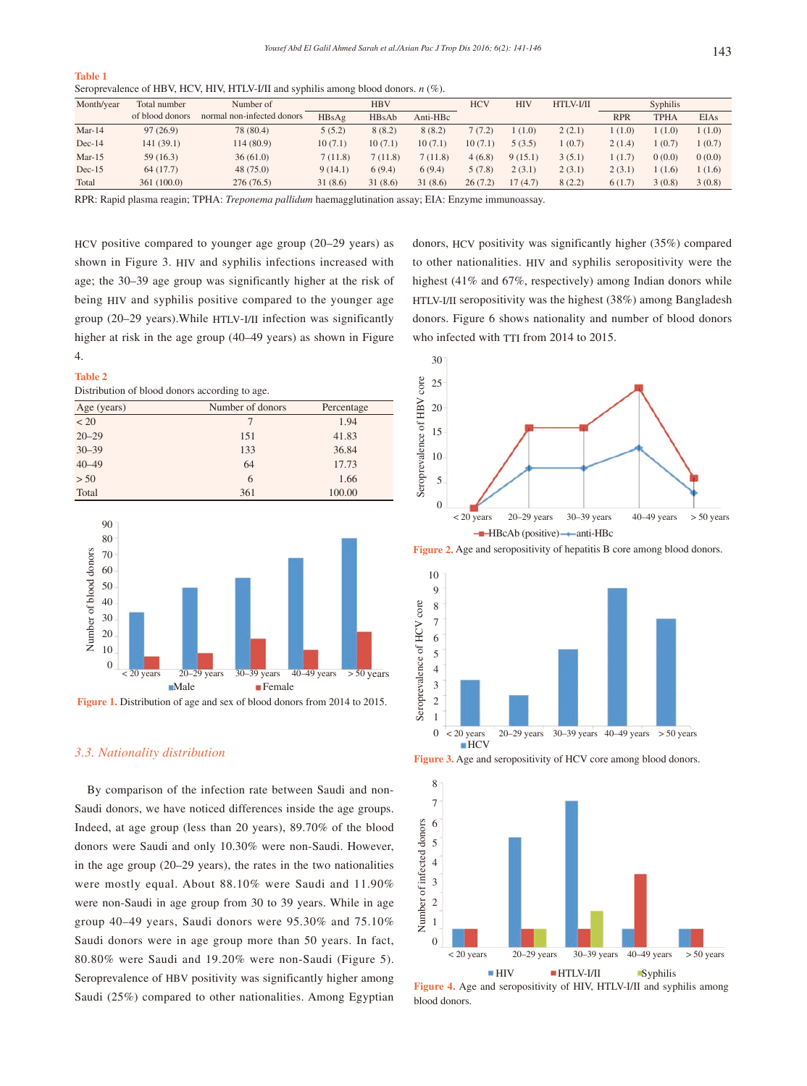| <b>Table 1</b>                                                                        |  |
|---------------------------------------------------------------------------------------|--|
| Seroprevalence of HBV, HCV, HIV, HTLV-I/II and syphilis among blood donors. $n(\%)$ . |  |

| Month/year | Total number    | Number of                  |         | <b>HBV</b> |          | <b>HCV</b> | <b>HIV</b> | HTLV-I/II |            | Syphilis    |             |
|------------|-----------------|----------------------------|---------|------------|----------|------------|------------|-----------|------------|-------------|-------------|
|            | of blood donors | normal non-infected donors | HBsAg   | HBsAb      | Anti-HBc |            |            |           | <b>RPR</b> | <b>TPHA</b> | <b>EIAs</b> |
| $Mar-14$   | 97(26.9)        | 78 (80.4)                  | 5(5.2)  | 8(8.2)     | 8(8.2)   | 7(7.2)     | (1.0)      | 2(2.1)    | 1(1.0)     | 1(1.0)      | 1(1.0)      |
| $Dec-14$   | 141(39.1)       | 114(80.9)                  | 10(7.1) | 10(7.1)    | 10(7.1)  | 10(7.1)    | 5(3.5)     | (0.7)     | 2(1.4)     | (0.7)       | 1(0.7)      |
| $Mar-15$   | 59(16.3)        | 36(61.0)                   | 7(11.8) | 7(11.8)    | 7(11.8)  | 4(6.8)     | 9(15.1)    | 3(5.1)    | 1(1.7)     | 0(0.0)      | 0(0.0)      |
| $Dec-15$   | 64(17.7)        | 48(75.0)                   | 9(14.1) | 6(9.4)     | 6(9.4)   | 5(7.8)     | 2(3.1)     | 2(3.1)    | 2(3.1)     | 1 (1.6)     | 1(1.6)      |
| Total      | 361(100.0)      | 276 (76.5)                 | 31(8.6) | 31(8.6)    | 31(8.6)  | 26(7.2)    | 17(4.7)    | 8(2.2)    | 6(1.7)     | 3(0.8)      | 3(0.8)      |

RPR: Rapid plasma reagin; TPHA: *Treponema pallidum* haemagglutination assay; EIA: Enzyme immunoassay.

HCV positive compared to younger age group (20–29 years) as shown in Figure 3. HIV and syphilis infections increased with age; the 30–39 age group was significantly higher at the risk of being HIV and syphilis positive compared to the younger age group (20–29 years).While HTLV-I/II infection was significantly higher at risk in the age group (40–49 years) as shown in Figure 4.

#### **Table 2**

Distribution of blood donors according to age.

| Age (years) | Number of donors | Percentage |
|-------------|------------------|------------|
| < 20        | 7                | 1.94       |
| $20 - 29$   | 151              | 41.83      |
| $30 - 39$   | 133              | 36.84      |
| $40 - 49$   | 64               | 17.73      |
| > 50        | 6                | 1.66       |
| Total       | 361              | 100.00     |



**Figure 1.** Distribution of age and sex of blood donors from 2014 to 2015.

# *3.3. Nationality distribution*

 By comparison of the infection rate between Saudi and non-Saudi donors, we have noticed differences inside the age groups. Indeed, at age group (less than 20 years), 89.70% of the blood donors were Saudi and only 10.30% were non-Saudi. However, in the age group (20–29 years), the rates in the two nationalities were mostly equal. About 88.10% were Saudi and 11.90% were non-Saudi in age group from 30 to 39 years. While in age group 40–49 years, Saudi donors were 95.30% and 75.10% Saudi donors were in age group more than 50 years. In fact, 80.80% were Saudi and 19.20% were non-Saudi (Figure 5). Seroprevalence of HBV positivity was significantly higher among Saudi (25%) compared to other nationalities. Among Egyptian donors, HCV positivity was significantly higher (35%) compared to other nationalities. HIV and syphilis seropositivity were the highest (41% and 67%, respectively) among Indian donors while HTLV-I/II seropositivity was the highest (38%) among Bangladesh donors. Figure 6 shows nationality and number of blood donors who infected with TTI from 2014 to 2015.









**Figure 4.** Age and seropositivity of HIV, HTLV-I/II and syphilis among blood donors.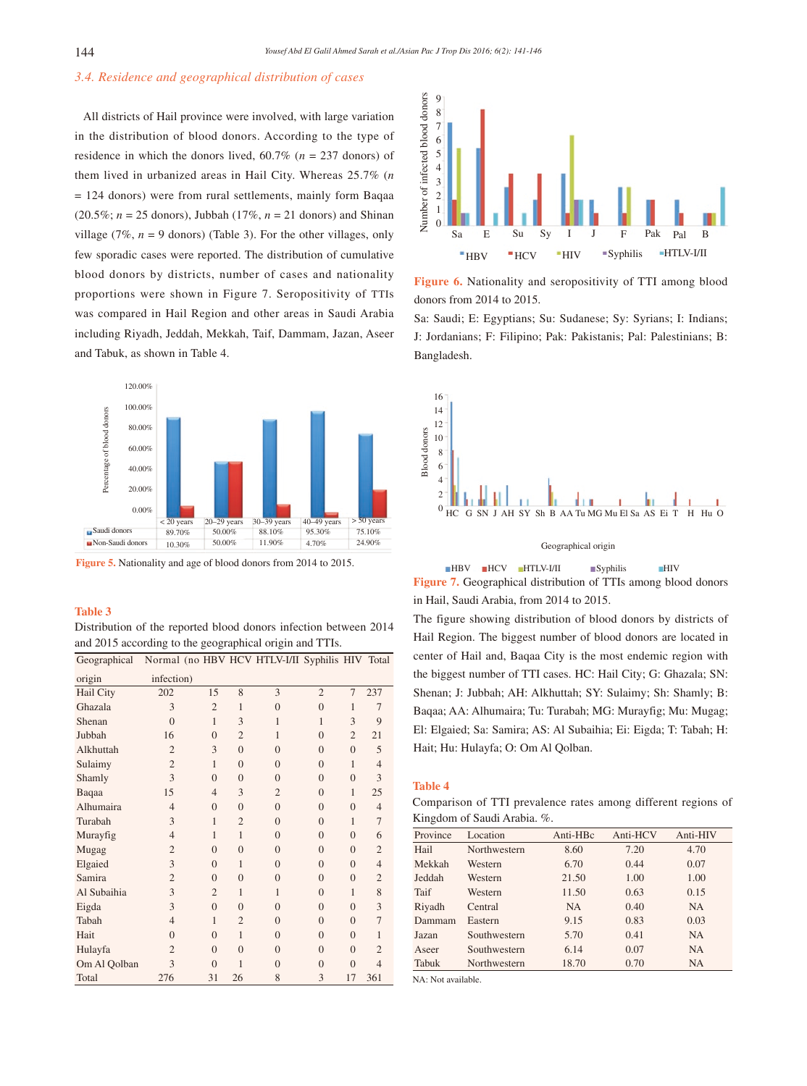# *3.4. Residence and geographical distribution of cases*

 All districts of Hail province were involved, with large variation in the distribution of blood donors. According to the type of residence in which the donors lived, 60.7% (*n* = 237 donors) of them lived in urbanized areas in Hail City. Whereas 25.7% (*n* = 124 donors) were from rural settlements, mainly form Baqaa (20.5%; *n* = 25 donors), Jubbah (17%, *n* = 21 donors) and Shinan village (7%,  $n = 9$  donors) (Table 3). For the other villages, only few sporadic cases were reported. The distribution of cumulative blood donors by districts, number of cases and nationality proportions were shown in Figure 7. Seropositivity of TTIs was compared in Hail Region and other areas in Saudi Arabia including Riyadh, Jeddah, Mekkah, Taif, Dammam, Jazan, Aseer and Tabuk, as shown in Table 4.



**Figure 5.** Nationality and age of blood donors from 2014 to 2015.

#### **Table 3**

| Distribution of the reported blood donors infection between 2014 |  |  |  |  |
|------------------------------------------------------------------|--|--|--|--|
| and 2015 according to the geographical origin and TTIs.          |  |  |  |  |

| Geographical |                |                |                | Normal (no HBV HCV HTLV-I/II Syphilis HIV Total |                |                |                |
|--------------|----------------|----------------|----------------|-------------------------------------------------|----------------|----------------|----------------|
| origin       | infection)     |                |                |                                                 |                |                |                |
| Hail City    | 202            | 15             | 8              | 3                                               | $\overline{2}$ | 7              | 237            |
| Ghazala      | 3              | $\overline{2}$ | $\mathbf{1}$   | $\theta$                                        | $\overline{0}$ | $\mathbf{1}$   | 7              |
| Shenan       | $\theta$       | $\mathbf{1}$   | 3              | 1                                               | 1              | 3              | 9              |
| Jubbah       | 16             | $\theta$       | $\overline{2}$ | 1                                               | $\overline{0}$ | $\overline{2}$ | 21             |
| Alkhuttah    | 2              | 3              | $\theta$       | $\theta$                                        | $\overline{0}$ | $\Omega$       | 5              |
| Sulaimy      | $\overline{2}$ | $\mathbf{1}$   | $\theta$       | $\theta$                                        | $\overline{0}$ | $\mathbf{1}$   | $\overline{4}$ |
| Shamly       | 3              | $\theta$       | $\theta$       | $\theta$                                        | $\overline{0}$ | $\Omega$       | 3              |
| Baqaa        | 15             | $\overline{4}$ | 3              | $\overline{c}$                                  | $\Omega$       | 1              | 25             |
| Alhumaira    | 4              | $\theta$       | $\theta$       | $\theta$                                        | $\overline{0}$ | $\Omega$       | $\overline{4}$ |
| Turabah      | 3              | 1              | $\overline{2}$ | $\theta$                                        | $\overline{0}$ | 1              | $\overline{7}$ |
| Murayfig     | $\overline{4}$ | 1              | $\mathbf{1}$   | $\theta$                                        | $\Omega$       | $\theta$       | 6              |
| Mugag        | $\overline{2}$ | $\theta$       | $\theta$       | $\theta$                                        | $\overline{0}$ | $\theta$       | $\overline{2}$ |
| Elgaied      | 3              | $\theta$       | 1              | $\theta$                                        | $\overline{0}$ | $\Omega$       | $\overline{4}$ |
| Samira       | $\overline{2}$ | $\theta$       | $\theta$       | $\theta$                                        | $\theta$       | $\theta$       | $\overline{2}$ |
| Al Subaihia  | 3              | $\overline{2}$ | $\mathbf{1}$   | 1                                               | $\overline{0}$ | 1              | 8              |
| Eigda        | 3              | $\theta$       | $\theta$       | $\theta$                                        | $\overline{0}$ | $\theta$       | 3              |
| Tabah        | $\overline{4}$ | 1              | $\overline{2}$ | $\theta$                                        | $\overline{0}$ | $\theta$       | $\overline{7}$ |
| Hait         | $\Omega$       | $\theta$       | $\mathbf{1}$   | $\theta$                                        | $\overline{0}$ | $\theta$       | 1              |
| Hulayfa      | $\overline{2}$ | $\theta$       | $\theta$       | $\theta$                                        | $\theta$       | $\theta$       | $\overline{2}$ |
| Om Al Qolban | 3              | $\Omega$       | 1              | $\Omega$                                        | $\overline{0}$ | $\theta$       | $\overline{4}$ |
| Total        | 276            | 31             | 26             | 8                                               | 3              | 17             | 361            |



**Figure 6.** Nationality and seropositivity of TTI among blood donors from 2014 to 2015.

Sa: Saudi; E: Egyptians; Su: Sudanese; Sy: Syrians; I: Indians; J: Jordanians; F: Filipino; Pak: Pakistanis; Pal: Palestinians; B: Bangladesh.



Geographical origin

HBV HCV HTLV-I/II Syphilis HIV **Figure 7.** Geographical distribution of TTIs among blood donors in Hail, Saudi Arabia, from 2014 to 2015.

The figure showing distribution of blood donors by districts of Hail Region. The biggest number of blood donors are located in center of Hail and, Baqaa City is the most endemic region with the biggest number of TTI cases. HC: Hail City; G: Ghazala; SN: Shenan; J: Jubbah; AH: Alkhuttah; SY: Sulaimy; Sh: Shamly; B: Baqaa; AA: Alhumaira; Tu: Turabah; MG: Murayfig; Mu: Mugag; El: Elgaied; Sa: Samira; AS: Al Subaihia; Ei: Eigda; T: Tabah; H: Hait; Hu: Hulayfa; O: Om Al Qolban.

## **Table 4**

Comparison of TTI prevalence rates among different regions of Kingdom of Saudi Arabia. %.

| Province | Location     | Anti-HBc  | Anti-HCV | Anti-HIV  |
|----------|--------------|-----------|----------|-----------|
| Hail     | Northwestern | 8.60      | 7.20     | 4.70      |
| Mekkah   | Western      | 6.70      | 0.44     | 0.07      |
| Jeddah   | Western      | 21.50     | 1.00     | 1.00      |
| Taif     | Western      | 11.50     | 0.63     | 0.15      |
| Riyadh   | Central      | <b>NA</b> | 0.40     | <b>NA</b> |
| Dammam   | Eastern      | 9.15      | 0.83     | 0.03      |
| Jazan    | Southwestern | 5.70      | 0.41     | <b>NA</b> |
| Aseer    | Southwestern | 6.14      | 0.07     | <b>NA</b> |
| Tabuk    | Northwestern | 18.70     | 0.70     | <b>NA</b> |

NA: Not available.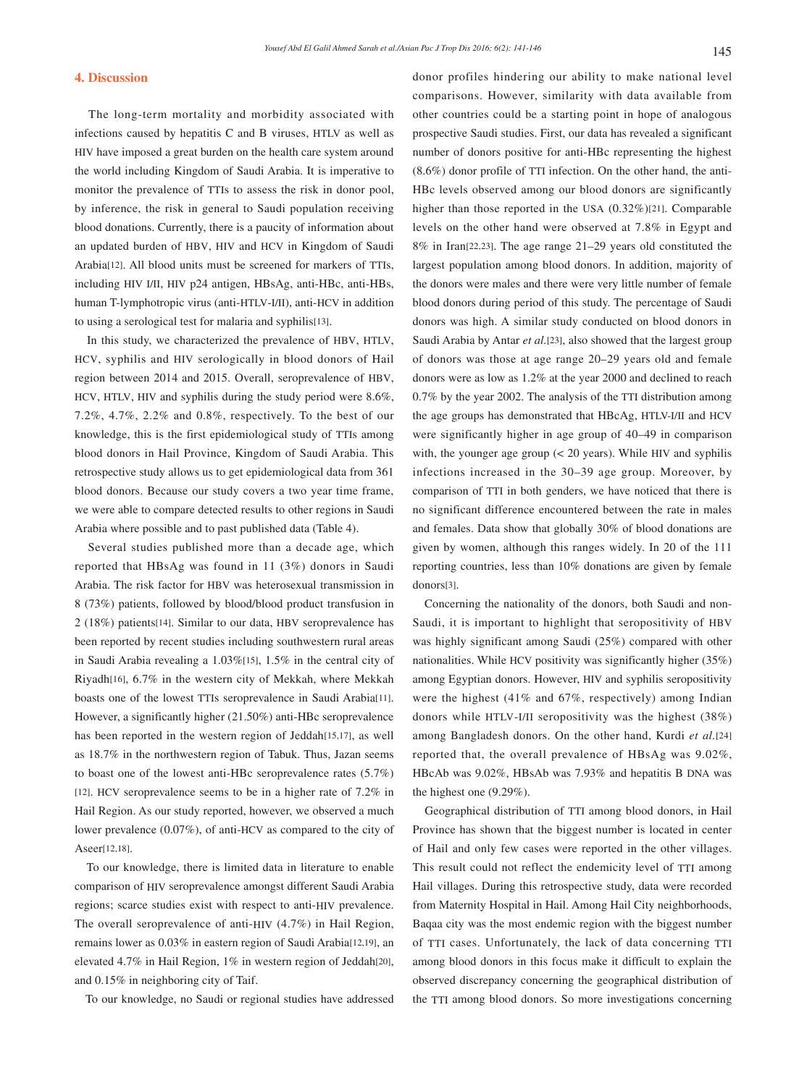# **4. Discussion**

 The long-term mortality and morbidity associated with infections caused by hepatitis C and B viruses, HTLV as well as HIV have imposed a great burden on the health care system around the world including Kingdom of Saudi Arabia. It is imperative to monitor the prevalence of TTIs to assess the risk in donor pool, by inference, the risk in general to Saudi population receiving blood donations. Currently, there is a paucity of information about an updated burden of HBV, HIV and HCV in Kingdom of Saudi Arabia[12]. All blood units must be screened for markers of TTIs, including HIV I/II, HIV p24 antigen, HBsAg, anti-HBc, anti-HBs, human T-lymphotropic virus (anti-HTLV-I/II), anti-HCV in addition to using a serological test for malaria and syphilis[13].

 In this study, we characterized the prevalence of HBV, HTLV, HCV, syphilis and HIV serologically in blood donors of Hail region between 2014 and 2015. Overall, seroprevalence of HBV, HCV, HTLV, HIV and syphilis during the study period were 8.6%, 7.2%, 4.7%, 2.2% and 0.8%, respectively. To the best of our knowledge, this is the first epidemiological study of TTIs among blood donors in Hail Province, Kingdom of Saudi Arabia. This retrospective study allows us to get epidemiological data from 361 blood donors. Because our study covers a two year time frame, we were able to compare detected results to other regions in Saudi Arabia where possible and to past published data (Table 4).

 Several studies published more than a decade age, which reported that HBsAg was found in 11 (3%) donors in Saudi Arabia. The risk factor for HBV was heterosexual transmission in 8 (73%) patients, followed by blood/blood product transfusion in 2 (18%) patients[14]. Similar to our data, HBV seroprevalence has been reported by recent studies including southwestern rural areas in Saudi Arabia revealing a 1.03%[15], 1.5% in the central city of Riyadh[16], 6.7% in the western city of Mekkah, where Mekkah boasts one of the lowest TTIs seroprevalence in Saudi Arabia[11]. However, a significantly higher (21.50%) anti-HBc seroprevalence has been reported in the western region of Jeddah[15,17], as well as 18.7% in the northwestern region of Tabuk. Thus, Jazan seems to boast one of the lowest anti-HBc seroprevalence rates (5.7%) [12]. HCV seroprevalence seems to be in a higher rate of 7.2% in Hail Region. As our study reported, however, we observed a much lower prevalence (0.07%), of anti-HCV as compared to the city of Aseer[12,18].

 To our knowledge, there is limited data in literature to enable comparison of HIV seroprevalence amongst different Saudi Arabia regions; scarce studies exist with respect to anti-HIV prevalence. The overall seroprevalence of anti-HIV (4.7%) in Hail Region, remains lower as 0.03% in eastern region of Saudi Arabia[12,19], an elevated 4.7% in Hail Region, 1% in western region of Jeddah[20], and 0.15% in neighboring city of Taif.

To our knowledge, no Saudi or regional studies have addressed

donor profiles hindering our ability to make national level comparisons. However, similarity with data available from other countries could be a starting point in hope of analogous prospective Saudi studies. First, our data has revealed a significant number of donors positive for anti-HBc representing the highest (8.6%) donor profile of TTI infection. On the other hand, the anti-HBc levels observed among our blood donors are significantly higher than those reported in the USA (0.32%)[21]. Comparable levels on the other hand were observed at 7.8% in Egypt and 8% in Iran[22,23]. The age range 21–29 years old constituted the largest population among blood donors. In addition, majority of the donors were males and there were very little number of female blood donors during period of this study. The percentage of Saudi donors was high. A similar study conducted on blood donors in Saudi Arabia by Antar *et al.*[23], also showed that the largest group of donors was those at age range 20–29 years old and female donors were as low as 1.2% at the year 2000 and declined to reach 0.7% by the year 2002. The analysis of the TTI distribution among the age groups has demonstrated that HBcAg, HTLV-I/II and HCV were significantly higher in age group of 40–49 in comparison with, the younger age group (< 20 years). While HIV and syphilis infections increased in the 30–39 age group. Moreover, by comparison of TTI in both genders, we have noticed that there is no significant difference encountered between the rate in males and females. Data show that globally 30% of blood donations are given by women, although this ranges widely. In 20 of the 111 reporting countries, less than 10% donations are given by female donors[3].

 Concerning the nationality of the donors, both Saudi and non-Saudi, it is important to highlight that seropositivity of HBV was highly significant among Saudi (25%) compared with other nationalities. While HCV positivity was significantly higher (35%) among Egyptian donors. However, HIV and syphilis seropositivity were the highest (41% and 67%, respectively) among Indian donors while HTLV-I/II seropositivity was the highest (38%) among Bangladesh donors. On the other hand, Kurdi *et al.*[24] reported that, the overall prevalence of HBsAg was 9.02%, HBcAb was 9.02%, HBsAb was 7.93% and hepatitis B DNA was the highest one (9.29%).

 Geographical distribution of TTI among blood donors, in Hail Province has shown that the biggest number is located in center of Hail and only few cases were reported in the other villages. This result could not reflect the endemicity level of TTI among Hail villages. During this retrospective study, data were recorded from Maternity Hospital in Hail. Among Hail City neighborhoods, Baqaa city was the most endemic region with the biggest number of TTI cases. Unfortunately, the lack of data concerning TTI among blood donors in this focus make it difficult to explain the observed discrepancy concerning the geographical distribution of the TTI among blood donors. So more investigations concerning